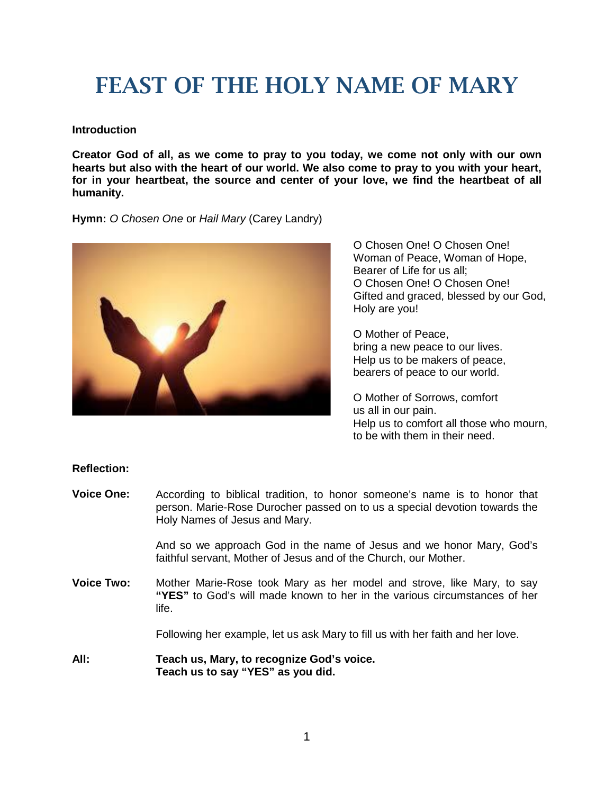# FEAST OF THE HOLY NAME OF MARY

## **Introduction**

**Creator God of all, as we come to pray to you today, we come not only with our own hearts but also with the heart of our world. We also come to pray to you with your heart, for in your heartbeat, the source and center of your love, we find the heartbeat of all humanity.**

## **Hymn:** *O Chosen One* or *Hail Mary* (Carey Landry)



O Chosen One! O Chosen One! Woman of Peace, Woman of Hope, Bearer of Life for us all; O Chosen One! O Chosen One! Gifted and graced, blessed by our God, Holy are you!

O Mother of Peace, bring a new peace to our lives. Help us to be makers of peace, bearers of peace to our world.

O Mother of Sorrows, comfort us all in our pain. Help us to comfort all those who mourn, to be with them in their need.

# **Reflection:**

**Voice One:** According to biblical tradition, to honor someone's name is to honor that person. Marie-Rose Durocher passed on to us a special devotion towards the Holy Names of Jesus and Mary.

> And so we approach God in the name of Jesus and we honor Mary, God's faithful servant, Mother of Jesus and of the Church, our Mother.

**Voice Two:** Mother Marie-Rose took Mary as her model and strove, like Mary, to say **"YES"** to God's will made known to her in the various circumstances of her life.

Following her example, let us ask Mary to fill us with her faith and her love.

**All: Teach us, Mary, to recognize God's voice. Teach us to say "YES" as you did.**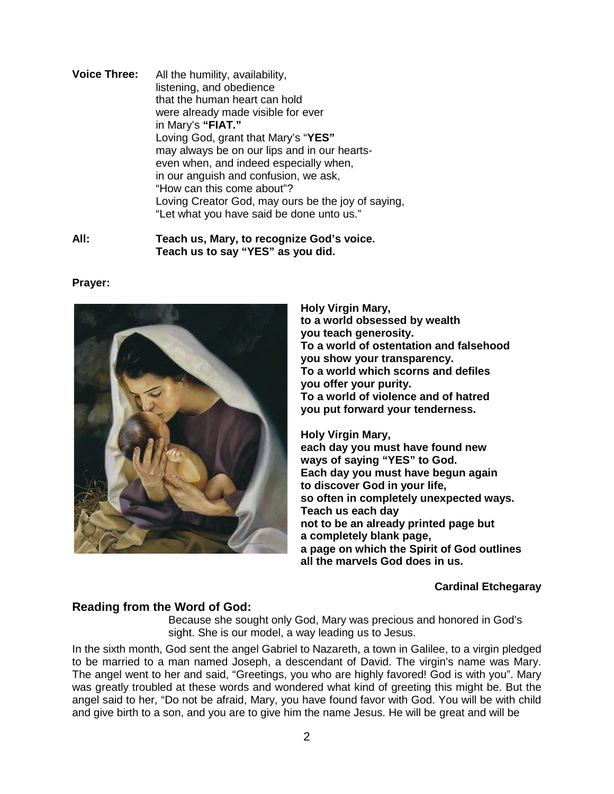**Voice Three:** All the humility, availability, listening, and obedience that the human heart can hold were already made visible for ever in Mary's **"FIAT."** Loving God, grant that Mary's "**YES"** may always be on our lips and in our heartseven when, and indeed especially when, in our anguish and confusion, we ask, "How can this come about"? Loving Creator God, may ours be the joy of saying, "Let what you have said be done unto us."

**All: Teach us, Mary, to recognize God's voice. Teach us to say "YES" as you did.**

#### **Prayer:**



**Holy Virgin Mary, to a world obsessed by wealth you teach generosity. To a world of ostentation and falsehood you show your transparency. To a world which scorns and defiles you offer your purity. To a world of violence and of hatred you put forward your tenderness.**

**Holy Virgin Mary, each day you must have found new ways of saying "YES" to God. Each day you must have begun again to discover God in your life, so often in completely unexpected ways. Teach us each day not to be an already printed page but a completely blank page, a page on which the Spirit of God outlines all the marvels God does in us.**

## **Cardinal Etchegaray**

## **Reading from the Word of God:**

Because she sought only God, Mary was precious and honored in God's sight. She is our model, a way leading us to Jesus.

In the sixth month, God sent the angel Gabriel to Nazareth, a town in Galilee, to a virgin pledged to be married to a man named Joseph, a descendant of David. The virgin's name was Mary. The angel went to her and said, "Greetings, you who are highly favored! God is with you". Mary was greatly troubled at these words and wondered what kind of greeting this might be. But the angel said to her, "Do not be afraid, Mary, you have found favor with God. You will be with child and give birth to a son, and you are to give him the name Jesus. He will be great and will be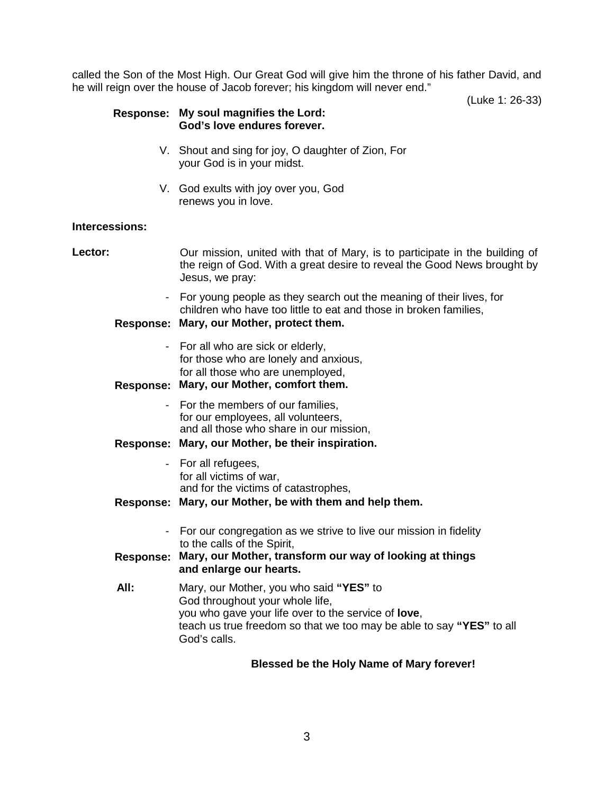called the Son of the Most High. Our Great God will give him the throne of his father David, and he will reign over the house of Jacob forever; his kingdom will never end."

(Luke 1: 26-33)

## **Response: My soul magnifies the Lord: God's love endures forever.**

- V. Shout and sing for joy, O daughter of Zion, For your God is in your midst.
- V. God exults with joy over you, God renews you in love.

## **Intercessions:**

Lector: **Dure mission, united with that of Mary, is to participate in the building of** the reign of God. With a great desire to reveal the Good News brought by Jesus, we pray: - For young people as they search out the meaning of their lives, for children who have too little to eat and those in broken families, **Response: Mary, our Mother, protect them.** - For all who are sick or elderly, for those who are lonely and anxious, for all those who are unemployed, **Response: Mary, our Mother, comfort them.** - For the members of our families, for our employees, all volunteers, and all those who share in our mission, **Response: Mary, our Mother, be their inspiration.** - For all refugees, for all victims of war, and for the victims of catastrophes, **Response: Mary, our Mother, be with them and help them.** - For our congregation as we strive to live our mission in fidelity to the calls of the Spirit, **Response: Mary, our Mother, transform our way of looking at things and enlarge our hearts. All:** Mary, our Mother, you who said **"YES"** to God throughout your whole life, you who gave your life over to the service of **love**, teach us true freedom so that we too may be able to say **"YES"** to all God's calls.

# **Blessed be the Holy Name of Mary forever!**